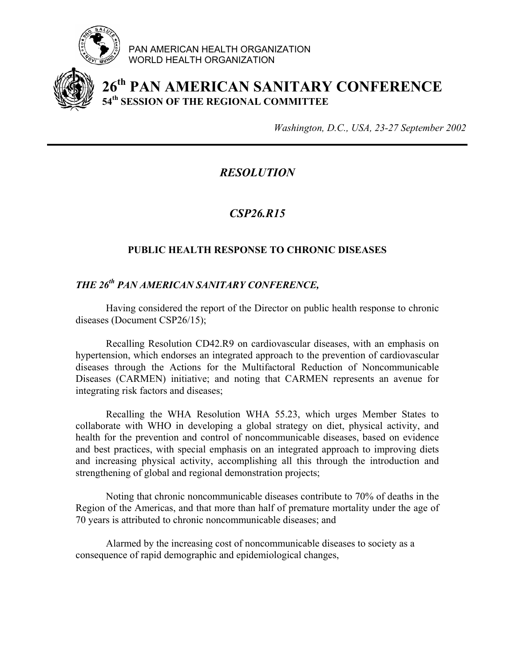

PAN AMERICAN HEALTH ORGANIZATION WORLD HEALTH ORGANIZATION



## **26th PAN AMERICAN SANITARY CONFERENCE 54th SESSION OF THE REGIONAL COMMITTEE**

*Washington, D.C., USA, 23-27 September 2002*

*RESOLUTION* 

*CSP26.R15* 

## **PUBLIC HEALTH RESPONSE TO CHRONIC DISEASES**

## *THE 26th PAN AMERICAN SANITARY CONFERENCE,*

Having considered the report of the Director on public health response to chronic diseases (Document CSP26/15);

Recalling Resolution CD42.R9 on cardiovascular diseases, with an emphasis on hypertension, which endorses an integrated approach to the prevention of cardiovascular diseases through the Actions for the Multifactoral Reduction of Noncommunicable Diseases (CARMEN) initiative; and noting that CARMEN represents an avenue for integrating risk factors and diseases;

 Recalling the WHA Resolution WHA 55.23, which urges Member States to collaborate with WHO in developing a global strategy on diet, physical activity, and health for the prevention and control of noncommunicable diseases, based on evidence and best practices, with special emphasis on an integrated approach to improving diets and increasing physical activity, accomplishing all this through the introduction and strengthening of global and regional demonstration projects;

Noting that chronic noncommunicable diseases contribute to 70% of deaths in the Region of the Americas, and that more than half of premature mortality under the age of 70 years is attributed to chronic noncommunicable diseases; and

 Alarmed by the increasing cost of noncommunicable diseases to society as a consequence of rapid demographic and epidemiological changes,